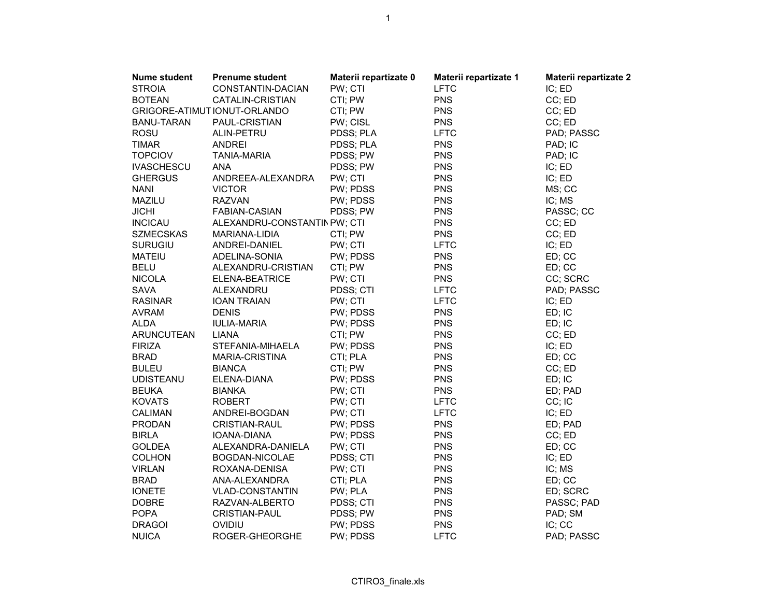| <b>Nume student</b> | <b>Prenume student</b>       | Materii repartizate 0 | Materii repartizate 1 | Materii repartizate 2 |
|---------------------|------------------------------|-----------------------|-----------------------|-----------------------|
| <b>STROIA</b>       | CONSTANTIN-DACIAN            | PW; CTI               | <b>LFTC</b>           | IC; ED                |
| <b>BOTEAN</b>       | CATALIN-CRISTIAN             | CTI; PW               | <b>PNS</b>            | CC; ED                |
|                     | GRIGORE-ATIMUT IONUT-ORLANDO | CTI; PW               | <b>PNS</b>            | CC; ED                |
| <b>BANU-TARAN</b>   | PAUL-CRISTIAN                | PW; CISL              | <b>PNS</b>            | CC; ED                |
| <b>ROSU</b>         | ALIN-PETRU                   | PDSS; PLA             | <b>LFTC</b>           | PAD; PASSC            |
| <b>TIMAR</b>        | <b>ANDREI</b>                | PDSS; PLA             | <b>PNS</b>            | PAD; IC               |
| <b>TOPCIOV</b>      | <b>TANIA-MARIA</b>           | PDSS; PW              | <b>PNS</b>            | PAD; IC               |
| <b>IVASCHESCU</b>   | <b>ANA</b>                   | PDSS; PW              | <b>PNS</b>            | IC; ED                |
| <b>GHERGUS</b>      | ANDREEA-ALEXANDRA            | PW; CTI               | <b>PNS</b>            | IC; ED                |
| <b>NANI</b>         | <b>VICTOR</b>                | PW; PDSS              | <b>PNS</b>            | MS; CC                |
| MAZILU              | <b>RAZVAN</b>                | PW; PDSS              | <b>PNS</b>            | IC; MS                |
| <b>JICHI</b>        | <b>FABIAN-CASIAN</b>         | PDSS; PW              | <b>PNS</b>            | PASSC; CC             |
| <b>INCICAU</b>      | ALEXANDRU-CONSTANTIN PW; CTI |                       | <b>PNS</b>            | CC; ED                |
| <b>SZMECSKAS</b>    | MARIANA-LIDIA                | CTI; PW               | <b>PNS</b>            | CC; ED                |
| <b>SURUGIU</b>      | ANDREI-DANIEL                | PW; CTI               | <b>LFTC</b>           | IC; ED                |
| <b>MATEIU</b>       | ADELINA-SONIA                | PW; PDSS              | <b>PNS</b>            | ED; CC                |
| <b>BELU</b>         | ALEXANDRU-CRISTIAN           | CTI; PW               | <b>PNS</b>            | ED; CC                |
| <b>NICOLA</b>       | ELENA-BEATRICE               | PW; CTI               | <b>PNS</b>            | CC; SCRC              |
| <b>SAVA</b>         | ALEXANDRU                    | PDSS; CTI             | <b>LFTC</b>           | PAD; PASSC            |
| <b>RASINAR</b>      | <b>IOAN TRAIAN</b>           | PW; CTI               | <b>LFTC</b>           | IC; ED                |
| <b>AVRAM</b>        | <b>DENIS</b>                 | PW; PDSS              | <b>PNS</b>            | ED; IC                |
| ALDA                | <b>IULIA-MARIA</b>           | PW; PDSS              | <b>PNS</b>            | ED; IC                |
| <b>ARUNCUTEAN</b>   | <b>LIANA</b>                 | CTI; PW               | <b>PNS</b>            | CC; ED                |
| <b>FIRIZA</b>       | STEFANIA-MIHAELA             | PW; PDSS              | <b>PNS</b>            | IC; ED                |
| <b>BRAD</b>         | MARIA-CRISTINA               | CTI; PLA              | <b>PNS</b>            | ED; CC                |
| <b>BULEU</b>        | <b>BIANCA</b>                | CTI; PW               | <b>PNS</b>            | CC; ED                |
| <b>UDISTEANU</b>    | ELENA-DIANA                  | PW; PDSS              | <b>PNS</b>            | ED; IC                |
| <b>BEUKA</b>        | <b>BIANKA</b>                | PW; CTI               | <b>PNS</b>            | ED; PAD               |
| <b>KOVATS</b>       | <b>ROBERT</b>                | PW; CTI               | <b>LFTC</b>           | CC; IC                |
| <b>CALIMAN</b>      | ANDREI-BOGDAN                | PW; CTI               | <b>LFTC</b>           | IC; ED                |
| <b>PRODAN</b>       | <b>CRISTIAN-RAUL</b>         | PW; PDSS              | <b>PNS</b>            | ED; PAD               |
| <b>BIRLA</b>        | IOANA-DIANA                  | PW; PDSS              | <b>PNS</b>            | CC; ED                |
| <b>GOLDEA</b>       | ALEXANDRA-DANIELA            | PW; CTI               | <b>PNS</b>            | ED; CC                |
| <b>COLHON</b>       | BOGDAN-NICOLAE               | PDSS; CTI             | <b>PNS</b>            | IC; ED                |
| <b>VIRLAN</b>       | ROXANA-DENISA                | PW; CTI               | <b>PNS</b>            | IC; MS                |
| <b>BRAD</b>         | ANA-ALEXANDRA                | CTI; PLA              | <b>PNS</b>            | ED; CC                |
| <b>IONETE</b>       | <b>VLAD-CONSTANTIN</b>       | PW; PLA               | <b>PNS</b>            | ED; SCRC              |
| <b>DOBRE</b>        | RAZVAN-ALBERTO               | PDSS; CTI             | <b>PNS</b>            | PASSC; PAD            |
| <b>POPA</b>         | <b>CRISTIAN-PAUL</b>         | PDSS; PW              | <b>PNS</b>            | PAD; SM               |
| <b>DRAGOI</b>       | OVIDIU                       | PW; PDSS              | <b>PNS</b>            | IC; CC                |
| <b>NUICA</b>        | ROGER-GHEORGHE               | PW; PDSS              | <b>LFTC</b>           | PAD; PASSC            |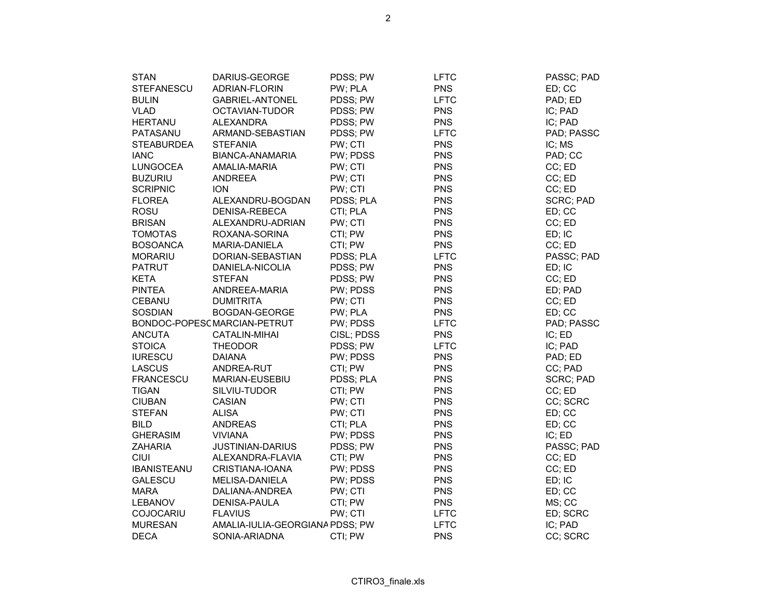| <b>STAN</b>        | DARIUS-GEORGE                   | PDSS; PW   | LFTC        | PASSC; PAD       |
|--------------------|---------------------------------|------------|-------------|------------------|
| <b>STEFANESCU</b>  | ADRIAN-FLORIN                   | PW; PLA    | <b>PNS</b>  | ED; CC           |
| <b>BULIN</b>       | GABRIEL-ANTONEL                 | PDSS; PW   | <b>LFTC</b> | PAD; ED          |
| <b>VLAD</b>        | OCTAVIAN-TUDOR                  | PDSS; PW   | <b>PNS</b>  | IC; PAD          |
| <b>HERTANU</b>     | <b>ALEXANDRA</b>                | PDSS; PW   | <b>PNS</b>  | IC; PAD          |
| PATASANU           | ARMAND-SEBASTIAN                | PDSS; PW   | <b>LFTC</b> | PAD; PASSC       |
| <b>STEABURDEA</b>  | <b>STEFANIA</b>                 | PW; CTI    | <b>PNS</b>  | IC; MS           |
| <b>IANC</b>        | BIANCA-ANAMARIA                 | PW; PDSS   | <b>PNS</b>  | PAD; CC          |
| <b>LUNGOCEA</b>    | AMALIA-MARIA                    | PW; CTI    | <b>PNS</b>  | CC; ED           |
| <b>BUZURIU</b>     | <b>ANDREEA</b>                  | PW; CTI    | <b>PNS</b>  | CC; ED           |
| <b>SCRIPNIC</b>    | <b>ION</b>                      | PW; CTI    | <b>PNS</b>  | CC; ED           |
| <b>FLOREA</b>      | ALEXANDRU-BOGDAN                | PDSS; PLA  | <b>PNS</b>  | <b>SCRC; PAD</b> |
| ROSU               | DENISA-REBECA                   | CTI; PLA   | <b>PNS</b>  | ED; CC           |
| <b>BRISAN</b>      | ALEXANDRU-ADRIAN                | PW; CTI    | <b>PNS</b>  | CC; ED           |
| <b>TOMOTAS</b>     | ROXANA-SORINA                   | CTI: PW    | <b>PNS</b>  | ED; IC           |
| <b>BOSOANCA</b>    | MARIA-DANIELA                   | CTI; PW    | <b>PNS</b>  | CC; ED           |
| <b>MORARIU</b>     | DORIAN-SEBASTIAN                | PDSS; PLA  | <b>LFTC</b> | PASSC; PAD       |
| <b>PATRUT</b>      | DANIELA-NICOLIA                 | PDSS; PW   | <b>PNS</b>  | ED; IC           |
| <b>KETA</b>        | <b>STEFAN</b>                   | PDSS; PW   | <b>PNS</b>  | CC; ED           |
| <b>PINTEA</b>      | ANDREEA-MARIA                   | PW; PDSS   | <b>PNS</b>  | ED; PAD          |
| <b>CEBANU</b>      | <b>DUMITRITA</b>                | PW; CTI    | <b>PNS</b>  | CC; ED           |
| <b>SOSDIAN</b>     | BOGDAN-GEORGE                   | PW; PLA    | <b>PNS</b>  | ED; CC           |
|                    | BONDOC-POPESC MARCIAN-PETRUT    | PW; PDSS   | <b>LFTC</b> | PAD; PASSC       |
| <b>ANCUTA</b>      | <b>CATALIN-MIHAI</b>            | CISL; PDSS | <b>PNS</b>  | IC; ED           |
| <b>STOICA</b>      | <b>THEODOR</b>                  | PDSS; PW   | <b>LFTC</b> | IC; PAD          |
| <b>IURESCU</b>     | <b>DAIANA</b>                   | PW; PDSS   | <b>PNS</b>  | PAD; ED          |
| <b>LASCUS</b>      | ANDREA-RUT                      | CTI: PW    | <b>PNS</b>  | CC; PAD          |
| <b>FRANCESCU</b>   | MARIAN-EUSEBIU                  | PDSS; PLA  | <b>PNS</b>  | <b>SCRC; PAD</b> |
| <b>TIGAN</b>       | SILVIU-TUDOR                    | CTI; PW    | <b>PNS</b>  | CC; ED           |
| <b>CIUBAN</b>      | <b>CASIAN</b>                   | PW; CTI    | <b>PNS</b>  | CC; SCRC         |
| <b>STEFAN</b>      | <b>ALISA</b>                    | PW; CTI    | <b>PNS</b>  | ED; CC           |
| <b>BILD</b>        | <b>ANDREAS</b>                  | CTI; PLA   | <b>PNS</b>  | ED; CC           |
| <b>GHERASIM</b>    | <b>VIVIANA</b>                  | PW; PDSS   | <b>PNS</b>  | IC; ED           |
| <b>ZAHARIA</b>     | JUSTINIAN-DARIUS                | PDSS; PW   | <b>PNS</b>  | PASSC; PAD       |
| <b>CIUI</b>        | ALEXANDRA-FLAVIA                | CTI; PW    | <b>PNS</b>  | CC; ED           |
| <b>IBANISTEANU</b> | CRISTIANA-IOANA                 | PW; PDSS   | <b>PNS</b>  | CC; ED           |
| <b>GALESCU</b>     | MELISA-DANIELA                  | PW; PDSS   | <b>PNS</b>  | ED; IC           |
| <b>MARA</b>        | DALIANA-ANDREA                  | PW; CTI    | <b>PNS</b>  | ED; CC           |
| <b>LEBANOV</b>     | <b>DENISA-PAULA</b>             | CTI; PW    | <b>PNS</b>  | MS; CC           |
| COJOCARIU          | <b>FLAVIUS</b>                  | PW; CTI    | <b>LFTC</b> | ED; SCRC         |
| <b>MURESAN</b>     | AMALIA-IULIA-GEORGIANA PDSS; PW |            | <b>LFTC</b> | IC; PAD          |
| <b>DECA</b>        | SONIA-ARIADNA                   | CTI; PW    | <b>PNS</b>  | CC; SCRC         |
|                    |                                 |            |             |                  |

CTIRO3\_finale.xls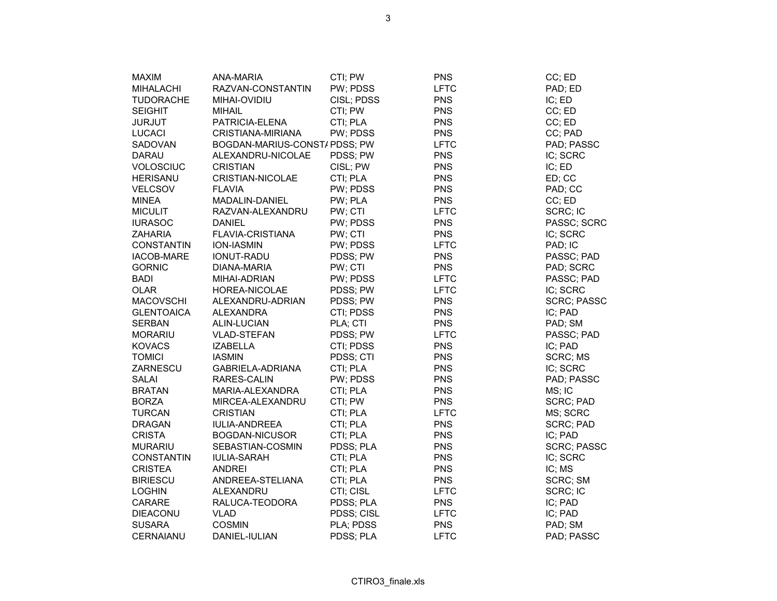| <b>MAXIM</b>      | ANA-MARIA                    | CTI; PW    | <b>PNS</b>  | CC; ED             |
|-------------------|------------------------------|------------|-------------|--------------------|
| MIHALACHI         | RAZVAN-CONSTANTIN            | PW; PDSS   | <b>LFTC</b> | PAD; ED            |
| <b>TUDORACHE</b>  | MIHAI-OVIDIU                 | CISL; PDSS | <b>PNS</b>  | IC; ED             |
| <b>SEIGHIT</b>    | <b>MIHAIL</b>                | CTI; PW    | <b>PNS</b>  | CC; ED             |
| <b>JURJUT</b>     | PATRICIA-ELENA               | CTI; PLA   | <b>PNS</b>  | CC; ED             |
| LUCACI            | CRISTIANA-MIRIANA            | PW; PDSS   | <b>PNS</b>  | CC; PAD            |
| SADOVAN           | BOGDAN-MARIUS-CONST/PDSS; PW |            | <b>LFTC</b> | PAD; PASSC         |
| <b>DARAU</b>      | ALEXANDRU-NICOLAE            | PDSS; PW   | <b>PNS</b>  | IC; SCRC           |
| <b>VOLOSCIUC</b>  | <b>CRISTIAN</b>              | CISL; PW   | <b>PNS</b>  | IC; ED             |
| <b>HERISANU</b>   | CRISTIAN-NICOLAE             | CTI; PLA   | <b>PNS</b>  | ED; CC             |
| VELCSOV           | <b>FLAVIA</b>                | PW; PDSS   | <b>PNS</b>  | PAD; CC            |
| <b>MINEA</b>      | MADALIN-DANIEL               | PW; PLA    | <b>PNS</b>  | CC; ED             |
| <b>MICULIT</b>    | RAZVAN-ALEXANDRU             | PW; CTI    | <b>LFTC</b> | SCRC; IC           |
| <b>IURASOC</b>    | <b>DANIEL</b>                | PW; PDSS   | <b>PNS</b>  | PASSC; SCRC        |
| <b>ZAHARIA</b>    | <b>FLAVIA-CRISTIANA</b>      | PW; CTI    | <b>PNS</b>  | IC; SCRC           |
| <b>CONSTANTIN</b> | ION-IASMIN                   | PW; PDSS   | <b>LFTC</b> | PAD; IC            |
| <b>IACOB-MARE</b> | IONUT-RADU                   | PDSS; PW   | <b>PNS</b>  | PASSC; PAD         |
| <b>GORNIC</b>     | DIANA-MARIA                  | PW; CTI    | <b>PNS</b>  | PAD; SCRC          |
| <b>BADI</b>       | MIHAI-ADRIAN                 | PW; PDSS   | <b>LFTC</b> | PASSC; PAD         |
| OLAR              | HOREA-NICOLAE                | PDSS; PW   | <b>LFTC</b> | IC; SCRC           |
| <b>MACOVSCHI</b>  | ALEXANDRU-ADRIAN             | PDSS; PW   | <b>PNS</b>  | <b>SCRC; PASSC</b> |
| <b>GLENTOAICA</b> | <b>ALEXANDRA</b>             | CTI; PDSS  | <b>PNS</b>  | IC; PAD            |
| <b>SERBAN</b>     | <b>ALIN-LUCIAN</b>           | PLA; CTI   | <b>PNS</b>  | PAD; SM            |
| <b>MORARIU</b>    | <b>VLAD-STEFAN</b>           | PDSS; PW   | <b>LFTC</b> | PASSC; PAD         |
| <b>KOVACS</b>     | <b>IZABELLA</b>              | CTI; PDSS  | <b>PNS</b>  | IC; PAD            |
| <b>TOMICI</b>     | <b>IASMIN</b>                | PDSS; CTI  | <b>PNS</b>  | SCRC; MS           |
| ZARNESCU          | <b>GABRIELA-ADRIANA</b>      | CTI; PLA   | <b>PNS</b>  | IC; SCRC           |
| SALAI             | RARES-CALIN                  | PW; PDSS   | <b>PNS</b>  | PAD; PASSC         |
| <b>BRATAN</b>     | MARIA-ALEXANDRA              | CTI; PLA   | <b>PNS</b>  | MS; IC             |
| <b>BORZA</b>      | MIRCEA-ALEXANDRU             | CTI; PW    | <b>PNS</b>  | <b>SCRC; PAD</b>   |
| <b>TURCAN</b>     | <b>CRISTIAN</b>              | CTI; PLA   | <b>LFTC</b> | MS; SCRC           |
| <b>DRAGAN</b>     | <b>IULIA-ANDREEA</b>         | CTI; PLA   | <b>PNS</b>  | <b>SCRC; PAD</b>   |
| <b>CRISTA</b>     | <b>BOGDAN-NICUSOR</b>        | CTI; PLA   | <b>PNS</b>  | IC; PAD            |
| <b>MURARIU</b>    | SEBASTIAN-COSMIN             | PDSS; PLA  | <b>PNS</b>  | <b>SCRC; PASSC</b> |
| <b>CONSTANTIN</b> | <b>IULIA-SARAH</b>           | CTI; PLA   | <b>PNS</b>  | IC; SCRC           |
| <b>CRISTEA</b>    | <b>ANDREI</b>                | CTI; PLA   | <b>PNS</b>  | IC; MS             |
| <b>BIRIESCU</b>   | ANDREEA-STELIANA             | CTI; PLA   | <b>PNS</b>  | SCRC; SM           |
| <b>LOGHIN</b>     | ALEXANDRU                    | CTI; CISL  | <b>LFTC</b> | SCRC; IC           |
| CARARE            | RALUCA-TEODORA               | PDSS; PLA  | <b>PNS</b>  | IC; PAD            |
| <b>DIEACONU</b>   | <b>VLAD</b>                  | PDSS; CISL | <b>LFTC</b> | IC; PAD            |
| <b>SUSARA</b>     | <b>COSMIN</b>                | PLA; PDSS  | <b>PNS</b>  | PAD; SM            |
| CERNAIANU         | DANIEL-IULIAN                | PDSS; PLA  | <b>LFTC</b> | PAD; PASSC         |

CTIRO3\_finale.xls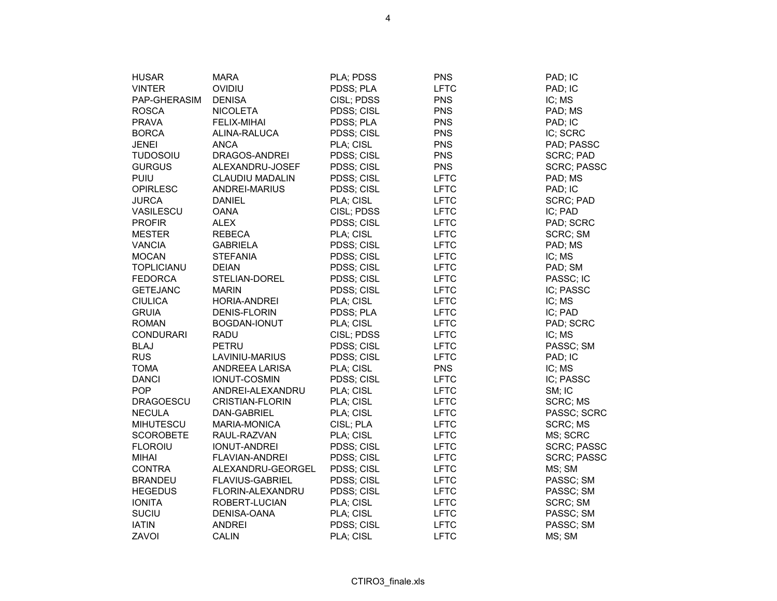| <b>HUSAR</b>      | <b>MARA</b>            | PLA; PDSS  | <b>PNS</b>  | PAD; IC            |
|-------------------|------------------------|------------|-------------|--------------------|
| <b>VINTER</b>     | OVIDIU                 | PDSS; PLA  | <b>LFTC</b> | PAD; IC            |
| PAP-GHERASIM      | <b>DENISA</b>          | CISL; PDSS | <b>PNS</b>  | IC; MS             |
| <b>ROSCA</b>      | <b>NICOLETA</b>        | PDSS; CISL | <b>PNS</b>  | PAD; MS            |
| <b>PRAVA</b>      | FELIX-MIHAI            | PDSS; PLA  | <b>PNS</b>  | PAD; IC            |
| <b>BORCA</b>      | ALINA-RALUCA           | PDSS; CISL | <b>PNS</b>  | IC; SCRC           |
| JENEI             | ANCA                   | PLA; CISL  | <b>PNS</b>  | PAD; PASSC         |
| <b>TUDOSOIU</b>   | DRAGOS-ANDREI          | PDSS; CISL | <b>PNS</b>  | SCRC; PAD          |
| <b>GURGUS</b>     | ALEXANDRU-JOSEF        | PDSS; CISL | <b>PNS</b>  | <b>SCRC; PASSC</b> |
| PUIU              | <b>CLAUDIU MADALIN</b> | PDSS; CISL | <b>LFTC</b> | PAD; MS            |
| <b>OPIRLESC</b>   | ANDREI-MARIUS          | PDSS; CISL | <b>LFTC</b> | PAD; IC            |
| <b>JURCA</b>      | <b>DANIEL</b>          | PLA; CISL  | <b>LFTC</b> | <b>SCRC; PAD</b>   |
| VASILESCU         | <b>OANA</b>            | CISL; PDSS | <b>LFTC</b> | IC; PAD            |
| <b>PROFIR</b>     | <b>ALEX</b>            | PDSS; CISL | <b>LFTC</b> | PAD; SCRC          |
| <b>MESTER</b>     | <b>REBECA</b>          | PLA; CISL  | <b>LFTC</b> | SCRC; SM           |
| <b>VANCIA</b>     | <b>GABRIELA</b>        | PDSS; CISL | <b>LFTC</b> | PAD; MS            |
| <b>MOCAN</b>      | <b>STEFANIA</b>        | PDSS; CISL | <b>LFTC</b> | IC; MS             |
| <b>TOPLICIANU</b> | <b>DEIAN</b>           | PDSS; CISL | <b>LFTC</b> | PAD; SM            |
| <b>FEDORCA</b>    | STELIAN-DOREL          | PDSS; CISL | <b>LFTC</b> | PASSC; IC          |
| <b>GETEJANC</b>   | <b>MARIN</b>           | PDSS; CISL | <b>LFTC</b> | IC; PASSC          |
| <b>CIULICA</b>    | HORIA-ANDREI           | PLA; CISL  | <b>LFTC</b> | IC; MS             |
| <b>GRUIA</b>      | <b>DENIS-FLORIN</b>    | PDSS; PLA  | <b>LFTC</b> | IC; PAD            |
| <b>ROMAN</b>      | BOGDAN-IONUT           | PLA; CISL  | <b>LFTC</b> | PAD; SCRC          |
| <b>CONDURARI</b>  | <b>RADU</b>            | CISL; PDSS | <b>LFTC</b> | IC; MS             |
| <b>BLAJ</b>       | PETRU                  | PDSS; CISL | <b>LFTC</b> | PASSC; SM          |
| <b>RUS</b>        | LAVINIU-MARIUS         | PDSS; CISL | <b>LFTC</b> | PAD; IC            |
| <b>TOMA</b>       | ANDREEA LARISA         | PLA; CISL  | <b>PNS</b>  | IC; MS             |
| <b>DANCI</b>      | IONUT-COSMIN           | PDSS; CISL | <b>LFTC</b> | IC; PASSC          |
| <b>POP</b>        | ANDREI-ALEXANDRU       | PLA; CISL  | <b>LFTC</b> | SM; IC             |
| <b>DRAGOESCU</b>  | <b>CRISTIAN-FLORIN</b> | PLA; CISL  | <b>LFTC</b> | SCRC; MS           |
| <b>NECULA</b>     | DAN-GABRIEL            | PLA; CISL  | <b>LFTC</b> | PASSC; SCRC        |
| <b>MIHUTESCU</b>  | <b>MARIA-MONICA</b>    | CISL; PLA  | <b>LFTC</b> | SCRC; MS           |
| <b>SCOROBETE</b>  | RAUL-RAZVAN            | PLA; CISL  | <b>LFTC</b> | MS; SCRC           |
| <b>FLOROIU</b>    | <b>IONUT-ANDREI</b>    | PDSS; CISL | <b>LFTC</b> | <b>SCRC; PASSC</b> |
| <b>MIHAI</b>      | <b>FLAVIAN-ANDREI</b>  | PDSS; CISL | <b>LFTC</b> | <b>SCRC; PASSC</b> |
| <b>CONTRA</b>     | ALEXANDRU-GEORGEL      | PDSS; CISL | <b>LFTC</b> | MS; SM             |
| <b>BRANDEU</b>    | <b>FLAVIUS-GABRIEL</b> | PDSS; CISL | <b>LFTC</b> | PASSC; SM          |
| <b>HEGEDUS</b>    | FLORIN-ALEXANDRU       | PDSS; CISL | <b>LFTC</b> | PASSC; SM          |
| <b>IONITA</b>     | ROBERT-LUCIAN          | PLA; CISL  | <b>LFTC</b> | SCRC; SM           |
| <b>SUCIU</b>      | DENISA-OANA            | PLA; CISL  | <b>LFTC</b> | PASSC; SM          |
| <b>IATIN</b>      | <b>ANDREI</b>          | PDSS; CISL | <b>LFTC</b> | PASSC; SM          |
| ZAVOI             | <b>CALIN</b>           | PLA; CISL  | <b>LFTC</b> | MS; SM             |

CTIRO3\_finale.xls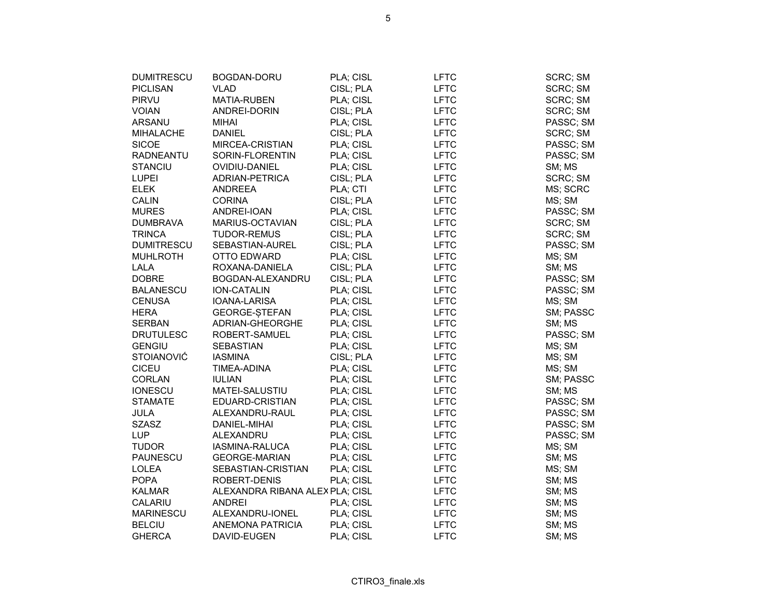| <b>DUMITRESCU</b> | BOGDAN-DORU                     | PLA; CISL | LFTC        | SCRC; SM  |
|-------------------|---------------------------------|-----------|-------------|-----------|
| <b>PICLISAN</b>   | <b>VLAD</b>                     | CISL; PLA | <b>LFTC</b> | SCRC; SM  |
| PIRVU             | <b>MATIA-RUBEN</b>              | PLA; CISL | <b>LFTC</b> | SCRC; SM  |
| <b>VOIAN</b>      | ANDREI-DORIN                    | CISL; PLA | <b>LFTC</b> | SCRC; SM  |
| <b>ARSANU</b>     | <b>MIHAI</b>                    | PLA; CISL | <b>LFTC</b> | PASSC; SM |
| <b>MIHALACHE</b>  | <b>DANIEL</b>                   | CISL; PLA | <b>LFTC</b> | SCRC; SM  |
| <b>SICOE</b>      | MIRCEA-CRISTIAN                 | PLA; CISL | <b>LFTC</b> | PASSC; SM |
| <b>RADNEANTU</b>  | SORIN-FLORENTIN                 | PLA; CISL | <b>LFTC</b> | PASSC; SM |
| <b>STANCIU</b>    | OVIDIU-DANIEL                   | PLA; CISL | <b>LFTC</b> | SM; MS    |
| <b>LUPEI</b>      | ADRIAN-PETRICA                  | CISL; PLA | <b>LFTC</b> | SCRC; SM  |
| <b>ELEK</b>       | <b>ANDREEA</b>                  | PLA; CTI  | <b>LFTC</b> | MS; SCRC  |
| <b>CALIN</b>      | <b>CORINA</b>                   | CISL; PLA | <b>LFTC</b> | MS; SM    |
| <b>MURES</b>      | ANDREI-IOAN                     | PLA; CISL | <b>LFTC</b> | PASSC; SM |
| <b>DUMBRAVA</b>   | <b>MARIUS-OCTAVIAN</b>          | CISL; PLA | <b>LFTC</b> | SCRC; SM  |
| <b>TRINCA</b>     | TUDOR-REMUS                     | CISL; PLA | <b>LFTC</b> | SCRC; SM  |
| <b>DUMITRESCU</b> | SEBASTIAN-AUREL                 | CISL; PLA | <b>LFTC</b> | PASSC; SM |
| <b>MUHLROTH</b>   | OTTO EDWARD                     | PLA; CISL | <b>LFTC</b> | MS; SM    |
| <b>LALA</b>       | ROXANA-DANIELA                  | CISL; PLA | <b>LFTC</b> | SM; MS    |
| <b>DOBRE</b>      | BOGDAN-ALEXANDRU                | CISL; PLA | <b>LFTC</b> | PASSC; SM |
| <b>BALANESCU</b>  | <b>ION-CATALIN</b>              | PLA; CISL | <b>LFTC</b> | PASSC; SM |
| <b>CENUSA</b>     | IOANA-LARISA                    | PLA; CISL | <b>LFTC</b> | MS; SM    |
| <b>HERA</b>       | GEORGE-STEFAN                   | PLA; CISL | <b>LFTC</b> | SM; PASSC |
| <b>SERBAN</b>     | ADRIAN-GHEORGHE                 | PLA; CISL | <b>LFTC</b> | SM; MS    |
| <b>DRUTULESC</b>  | ROBERT-SAMUEL                   | PLA; CISL | <b>LFTC</b> | PASSC; SM |
| <b>GENGIU</b>     | <b>SEBASTIAN</b>                | PLA; CISL | <b>LFTC</b> | MS; SM    |
| <b>STOIANOVIĆ</b> | <b>IASMINA</b>                  | CISL; PLA | <b>LFTC</b> | MS; SM    |
| <b>CICEU</b>      | TIMEA-ADINA                     | PLA; CISL | <b>LFTC</b> | MS; SM    |
| CORLAN            | <b>IULIAN</b>                   | PLA; CISL | <b>LFTC</b> | SM; PASSC |
| <b>IONESCU</b>    | MATEI-SALUSTIU                  | PLA; CISL | <b>LFTC</b> | SM; MS    |
| <b>STAMATE</b>    | EDUARD-CRISTIAN                 | PLA; CISL | <b>LFTC</b> | PASSC; SM |
| JULA              | ALEXANDRU-RAUL                  | PLA; CISL | <b>LFTC</b> | PASSC; SM |
| <b>SZASZ</b>      | DANIEL-MIHAI                    | PLA; CISL | <b>LFTC</b> | PASSC; SM |
| LUP               | ALEXANDRU                       | PLA; CISL | <b>LFTC</b> | PASSC; SM |
| <b>TUDOR</b>      | IASMINA-RALUCA                  | PLA; CISL | <b>LFTC</b> | MS; SM    |
| <b>PAUNESCU</b>   | <b>GEORGE-MARIAN</b>            | PLA; CISL | <b>LFTC</b> | SM; MS    |
| LOLEA             | SEBASTIAN-CRISTIAN              | PLA; CISL | <b>LFTC</b> | MS; SM    |
| <b>POPA</b>       | ROBERT-DENIS                    | PLA; CISL | <b>LFTC</b> | SM; MS    |
| <b>KALMAR</b>     | ALEXANDRA RIBANA ALEX PLA; CISL |           | <b>LFTC</b> | SM; MS    |
| CALARIU           | <b>ANDREI</b>                   | PLA; CISL | <b>LFTC</b> | SM; MS    |
| <b>MARINESCU</b>  | ALEXANDRU-IONEL                 | PLA; CISL | <b>LFTC</b> | SM; MS    |
| <b>BELCIU</b>     | <b>ANEMONA PATRICIA</b>         | PLA; CISL | <b>LFTC</b> | SM; MS    |
| <b>GHERCA</b>     | DAVID-EUGEN                     | PLA; CISL | <b>LFTC</b> | SM; MS    |